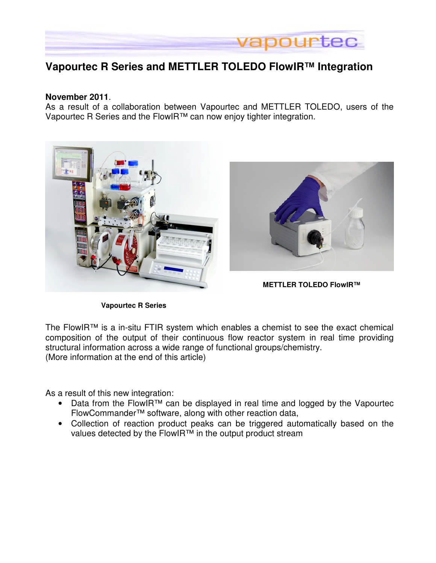

# **Vapourtec R Series and METTLER TOLEDO FlowIR™ Integration**

#### **November 2011**.

As a result of a collaboration between Vapourtec and METTLER TOLEDO, users of the Vapourtec R Series and the FlowIR™ can now enjoy tighter integration.



**Vapourtec R Series** 

The FlowIR™ is a in-situ FTIR system which enables a chemist to see the exact chemical composition of the output of their continuous flow reactor system in real time providing structural information across a wide range of functional groups/chemistry. (More information at the end of this article)

As a result of this new integration:

- Data from the FlowIR™ can be displayed in real time and logged by the Vapourtec FlowCommander™ software, along with other reaction data,
- Collection of reaction product peaks can be triggered automatically based on the values detected by the FlowIR™ in the output product stream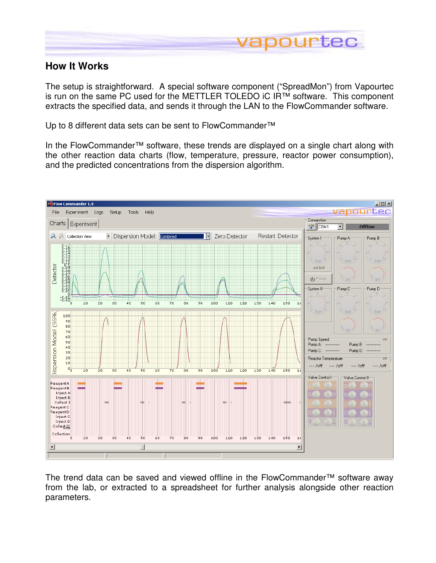

## **How It Works**

The setup is straightforward. A special software component ("SpreadMon") from Vapourtec is run on the same PC used for the METTLER TOLEDO iC IR™ software. This component extracts the specified data, and sends it through the LAN to the FlowCommander software.

Up to 8 different data sets can be sent to FlowCommander<sup>™</sup>

In the FlowCommander™ software, these trends are displayed on a single chart along with the other reaction data charts (flow, temperature, pressure, reactor power consumption), and the predicted concentrations from the dispersion algorithm.



The trend data can be saved and viewed offline in the FlowCommander™ software away from the lab, or extracted to a spreadsheet for further analysis alongside other reaction parameters.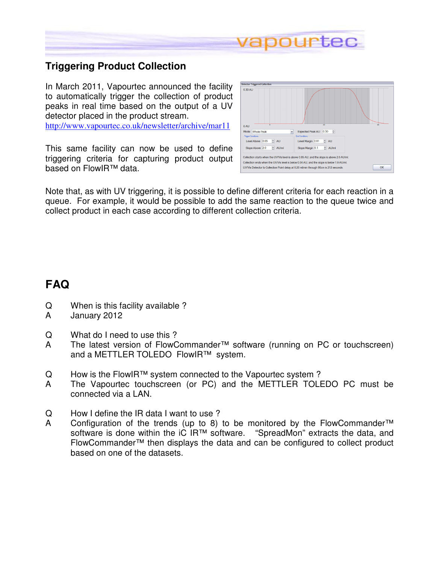

## **Triggering Product Collection**

In March 2011, Vapourtec announced the facility to automatically trigger the collection of product peaks in real time based on the output of a UV detector placed in the product stream. http://www.vapourtec.co.uk/newsletter/archive/mar11

This same facility can now be used to define triggering criteria for capturing product output based on FlowIR™ data.

| 0.30 AU                         |                                                                                             |    |
|---------------------------------|---------------------------------------------------------------------------------------------|----|
| 0AU                             | 10                                                                                          | 20 |
| Mode: Whole Peak                | 高<br>Expected Peak AU: 0.30<br>$\ddot{ }$                                                   |    |
| <b>Trigger Conditions</b>       | <b>End Conditions</b>                                                                       |    |
| $\div$ AU<br>Level Above 0.05   | $\approx$ AU<br>Level Margin 0.01                                                           |    |
| $\div$ AU/ml<br>Slope Above 2.0 | $\Rightarrow$ AU/ml<br>Slope Margin 0.1                                                     |    |
|                                 | Collection starts when the UV/Vis level is above 0.05 AU, and the slope is above 2.0 AU/ml. |    |
|                                 | Collection ends when the UV/Vis level is below 0.04 AU, and the slope is below 1.9 AU/ml.   |    |
|                                 | UV/Vis Detector to Collection Point delay at 0.20 ml/min through 90cm is 212 seconds.       | OK |

Note that, as with UV triggering, it is possible to define different criteria for each reaction in a queue. For example, it would be possible to add the same reaction to the queue twice and collect product in each case according to different collection criteria.

# **FAQ**

- Q When is this facility available ?
- A January 2012
- Q What do I need to use this ?
- A The latest version of FlowCommander™ software (running on PC or touchscreen) and a METTLER TOLEDO FlowIR™ system.
- Q How is the FlowIR™ system connected to the Vapourtec system?
- A The Vapourtec touchscreen (or PC) and the METTLER TOLEDO PC must be connected via a LAN.
- Q How I define the IR data I want to use ?
- A Configuration of the trends (up to 8) to be monitored by the FlowCommander<sup>™</sup> software is done within the iC IR<sup>™</sup> software. "SpreadMon" extracts the data, and software is done within the iC IR™ software. FlowCommander™ then displays the data and can be configured to collect product based on one of the datasets.